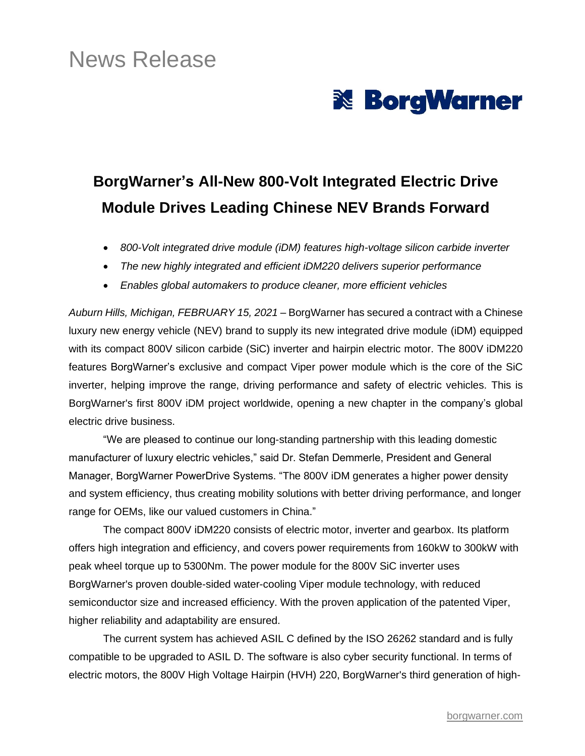# News Release



## **BorgWarner's All-New 800-Volt Integrated Electric Drive Module Drives Leading Chinese NEV Brands Forward**

- *800-Volt integrated drive module (iDM) features high-voltage silicon carbide inverter*
- *The new highly integrated and efficient iDM220 delivers superior performance*
- *Enables global automakers to produce cleaner, more efficient vehicles*

*Auburn Hills, Michigan, FEBRUARY 15, 2021 –* BorgWarner has secured a contract with a Chinese luxury new energy vehicle (NEV) brand to supply its new integrated drive module (iDM) equipped with its compact 800V silicon carbide (SiC) inverter and hairpin electric motor. The 800V iDM220 features BorgWarner's exclusive and compact Viper power module which is the core of the SiC inverter, helping improve the range, driving performance and safety of electric vehicles. This is BorgWarner's first 800V iDM project worldwide, opening a new chapter in the company's global electric drive business.

"We are pleased to continue our long-standing partnership with this leading domestic manufacturer of luxury electric vehicles," said Dr. Stefan Demmerle, President and General Manager, BorgWarner PowerDrive Systems. "The 800V iDM generates a higher power density and system efficiency, thus creating mobility solutions with better driving performance, and longer range for OEMs, like our valued customers in China."

The compact 800V iDM220 consists of electric motor, inverter and gearbox. Its platform offers high integration and efficiency, and covers power requirements from 160kW to 300kW with peak wheel torque up to 5300Nm. The power module for the 800V SiC inverter uses BorgWarner's proven double-sided water-cooling Viper module technology, with reduced semiconductor size and increased efficiency. With the proven application of the patented Viper, higher reliability and adaptability are ensured.

The current system has achieved ASIL C defined by the ISO 26262 standard and is fully compatible to be upgraded to ASIL D. The software is also cyber security functional. In terms of electric motors, the 800V High Voltage Hairpin (HVH) 220, BorgWarner's third generation of high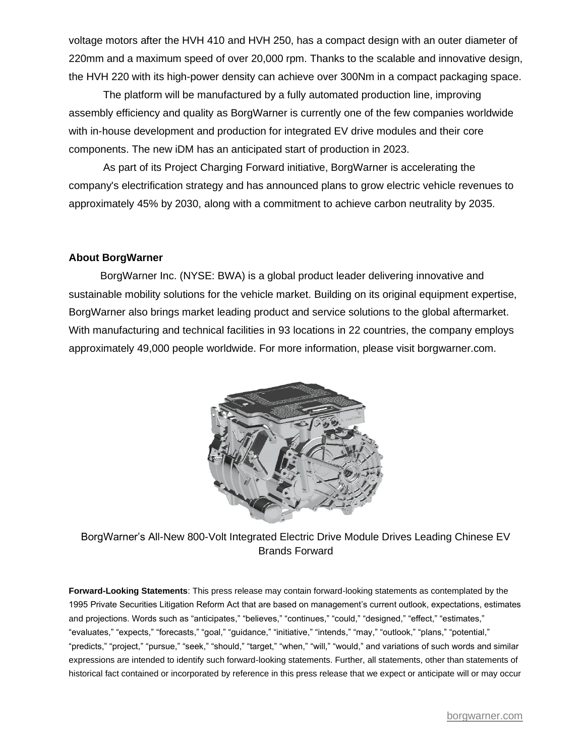voltage motors after the HVH 410 and HVH 250, has a compact design with an outer diameter of 220mm and a maximum speed of over 20,000 rpm. Thanks to the scalable and innovative design, the HVH 220 with its high-power density can achieve over 300Nm in a compact packaging space.

The platform will be manufactured by a fully automated production line, improving assembly efficiency and quality as BorgWarner is currently one of the few companies worldwide with in-house development and production for integrated EV drive modules and their core components. The new iDM has an anticipated start of production in 2023.

As part of its Project Charging Forward initiative, BorgWarner is accelerating the company's electrification strategy and has announced plans to grow electric vehicle revenues to approximately 45% by 2030, along with a commitment to achieve carbon neutrality by 2035.

#### **About BorgWarner**

BorgWarner Inc. (NYSE: BWA) is a global product leader delivering innovative and sustainable mobility solutions for the vehicle market. Building on its original equipment expertise, BorgWarner also brings market leading product and service solutions to the global aftermarket. With manufacturing and technical facilities in 93 locations in 22 countries, the company employs approximately 49,000 people worldwide. For more information, please visit borgwarner.com.



BorgWarner's All-New 800-Volt Integrated Electric Drive Module Drives Leading Chinese EV Brands Forward

**Forward-Looking Statements**: This press release may contain forward-looking statements as contemplated by the 1995 Private Securities Litigation Reform Act that are based on management's current outlook, expectations, estimates and projections. Words such as "anticipates," "believes," "continues," "could," "designed," "effect," "estimates," "evaluates," "expects," "forecasts," "goal," "guidance," "initiative," "intends," "may," "outlook," "plans," "potential," "predicts," "project," "pursue," "seek," "should," "target," "when," "will," "would," and variations of such words and similar expressions are intended to identify such forward-looking statements. Further, all statements, other than statements of historical fact contained or incorporated by reference in this press release that we expect or anticipate will or may occur